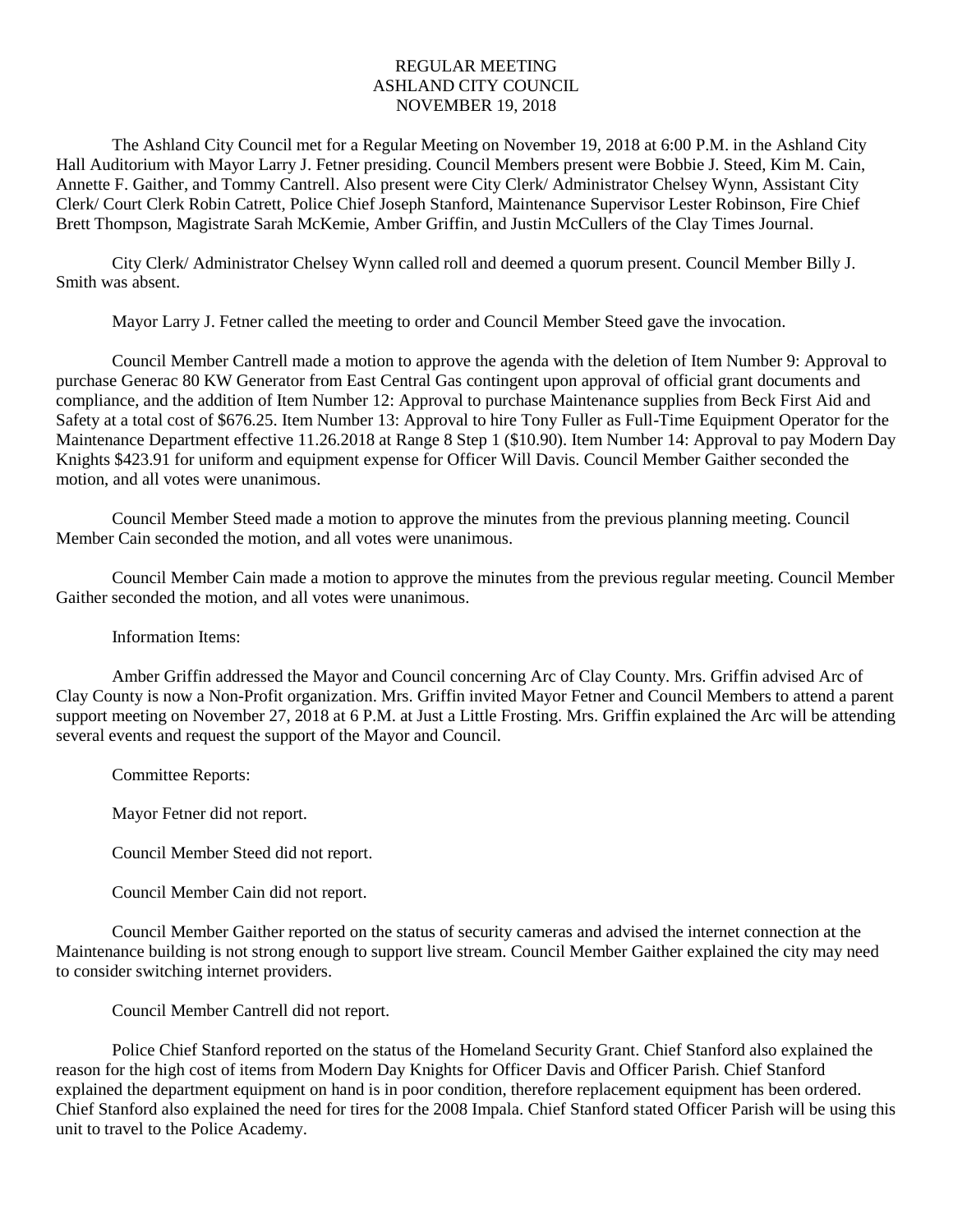## REGULAR MEETING ASHLAND CITY COUNCIL NOVEMBER 19, 2018

The Ashland City Council met for a Regular Meeting on November 19, 2018 at 6:00 P.M. in the Ashland City Hall Auditorium with Mayor Larry J. Fetner presiding. Council Members present were Bobbie J. Steed, Kim M. Cain, Annette F. Gaither, and Tommy Cantrell. Also present were City Clerk/ Administrator Chelsey Wynn, Assistant City Clerk/ Court Clerk Robin Catrett, Police Chief Joseph Stanford, Maintenance Supervisor Lester Robinson, Fire Chief Brett Thompson, Magistrate Sarah McKemie, Amber Griffin, and Justin McCullers of the Clay Times Journal.

City Clerk/ Administrator Chelsey Wynn called roll and deemed a quorum present. Council Member Billy J. Smith was absent.

Mayor Larry J. Fetner called the meeting to order and Council Member Steed gave the invocation.

Council Member Cantrell made a motion to approve the agenda with the deletion of Item Number 9: Approval to purchase Generac 80 KW Generator from East Central Gas contingent upon approval of official grant documents and compliance, and the addition of Item Number 12: Approval to purchase Maintenance supplies from Beck First Aid and Safety at a total cost of \$676.25. Item Number 13: Approval to hire Tony Fuller as Full-Time Equipment Operator for the Maintenance Department effective 11.26.2018 at Range 8 Step 1 (\$10.90). Item Number 14: Approval to pay Modern Day Knights \$423.91 for uniform and equipment expense for Officer Will Davis. Council Member Gaither seconded the motion, and all votes were unanimous.

Council Member Steed made a motion to approve the minutes from the previous planning meeting. Council Member Cain seconded the motion, and all votes were unanimous.

Council Member Cain made a motion to approve the minutes from the previous regular meeting. Council Member Gaither seconded the motion, and all votes were unanimous.

Information Items:

Amber Griffin addressed the Mayor and Council concerning Arc of Clay County. Mrs. Griffin advised Arc of Clay County is now a Non-Profit organization. Mrs. Griffin invited Mayor Fetner and Council Members to attend a parent support meeting on November 27, 2018 at 6 P.M. at Just a Little Frosting. Mrs. Griffin explained the Arc will be attending several events and request the support of the Mayor and Council.

Committee Reports:

Mayor Fetner did not report.

Council Member Steed did not report.

Council Member Cain did not report.

Council Member Gaither reported on the status of security cameras and advised the internet connection at the Maintenance building is not strong enough to support live stream. Council Member Gaither explained the city may need to consider switching internet providers.

Council Member Cantrell did not report.

Police Chief Stanford reported on the status of the Homeland Security Grant. Chief Stanford also explained the reason for the high cost of items from Modern Day Knights for Officer Davis and Officer Parish. Chief Stanford explained the department equipment on hand is in poor condition, therefore replacement equipment has been ordered. Chief Stanford also explained the need for tires for the 2008 Impala. Chief Stanford stated Officer Parish will be using this unit to travel to the Police Academy.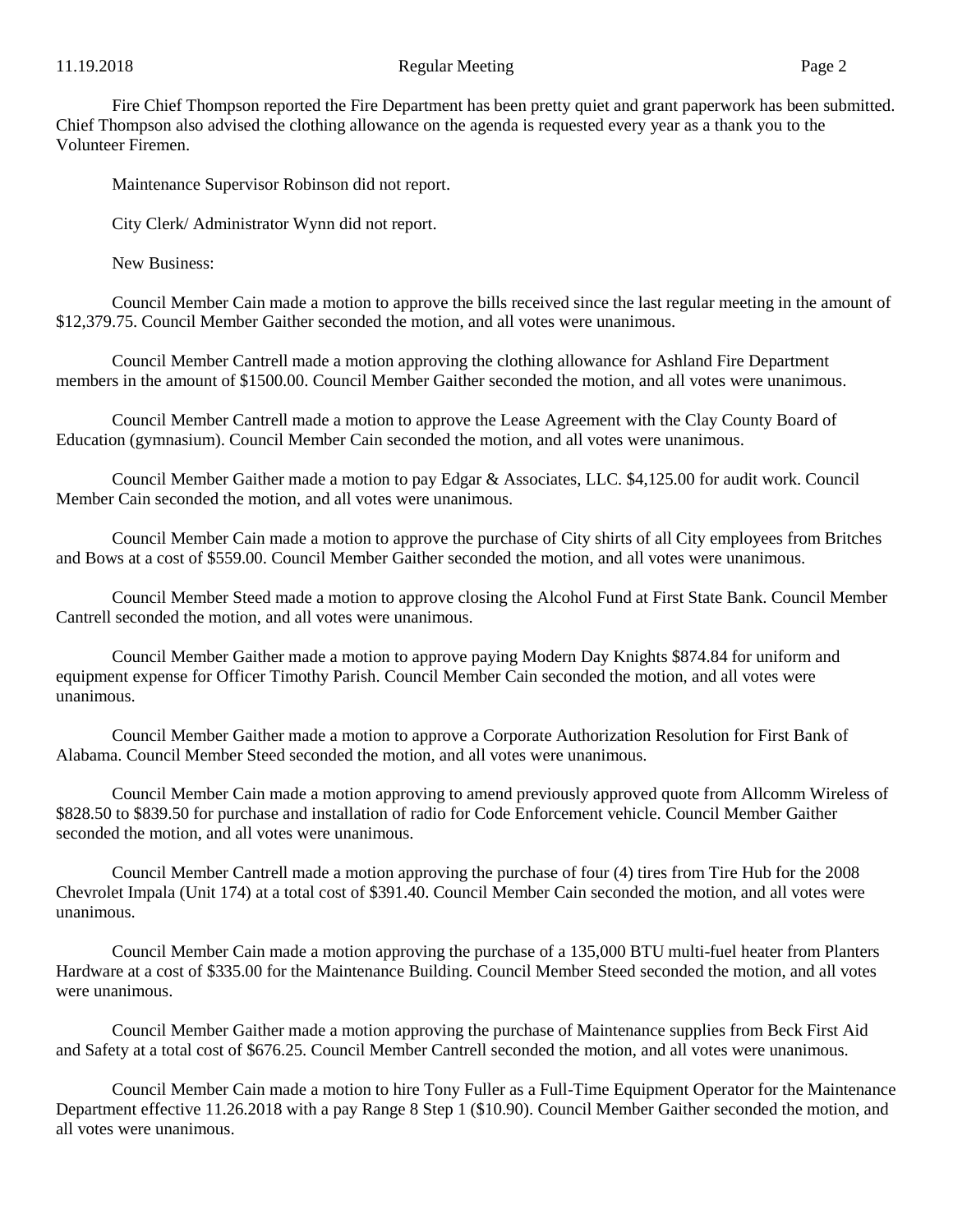Fire Chief Thompson reported the Fire Department has been pretty quiet and grant paperwork has been submitted. Chief Thompson also advised the clothing allowance on the agenda is requested every year as a thank you to the Volunteer Firemen.

Maintenance Supervisor Robinson did not report.

City Clerk/ Administrator Wynn did not report.

New Business:

Council Member Cain made a motion to approve the bills received since the last regular meeting in the amount of \$12,379.75. Council Member Gaither seconded the motion, and all votes were unanimous.

Council Member Cantrell made a motion approving the clothing allowance for Ashland Fire Department members in the amount of \$1500.00. Council Member Gaither seconded the motion, and all votes were unanimous.

Council Member Cantrell made a motion to approve the Lease Agreement with the Clay County Board of Education (gymnasium). Council Member Cain seconded the motion, and all votes were unanimous.

Council Member Gaither made a motion to pay Edgar & Associates, LLC. \$4,125.00 for audit work. Council Member Cain seconded the motion, and all votes were unanimous.

Council Member Cain made a motion to approve the purchase of City shirts of all City employees from Britches and Bows at a cost of \$559.00. Council Member Gaither seconded the motion, and all votes were unanimous.

Council Member Steed made a motion to approve closing the Alcohol Fund at First State Bank. Council Member Cantrell seconded the motion, and all votes were unanimous.

Council Member Gaither made a motion to approve paying Modern Day Knights \$874.84 for uniform and equipment expense for Officer Timothy Parish. Council Member Cain seconded the motion, and all votes were unanimous.

Council Member Gaither made a motion to approve a Corporate Authorization Resolution for First Bank of Alabama. Council Member Steed seconded the motion, and all votes were unanimous.

Council Member Cain made a motion approving to amend previously approved quote from Allcomm Wireless of \$828.50 to \$839.50 for purchase and installation of radio for Code Enforcement vehicle. Council Member Gaither seconded the motion, and all votes were unanimous.

Council Member Cantrell made a motion approving the purchase of four (4) tires from Tire Hub for the 2008 Chevrolet Impala (Unit 174) at a total cost of \$391.40. Council Member Cain seconded the motion, and all votes were unanimous.

Council Member Cain made a motion approving the purchase of a 135,000 BTU multi-fuel heater from Planters Hardware at a cost of \$335.00 for the Maintenance Building. Council Member Steed seconded the motion, and all votes were unanimous.

Council Member Gaither made a motion approving the purchase of Maintenance supplies from Beck First Aid and Safety at a total cost of \$676.25. Council Member Cantrell seconded the motion, and all votes were unanimous.

Council Member Cain made a motion to hire Tony Fuller as a Full-Time Equipment Operator for the Maintenance Department effective 11.26.2018 with a pay Range 8 Step 1 (\$10.90). Council Member Gaither seconded the motion, and all votes were unanimous.